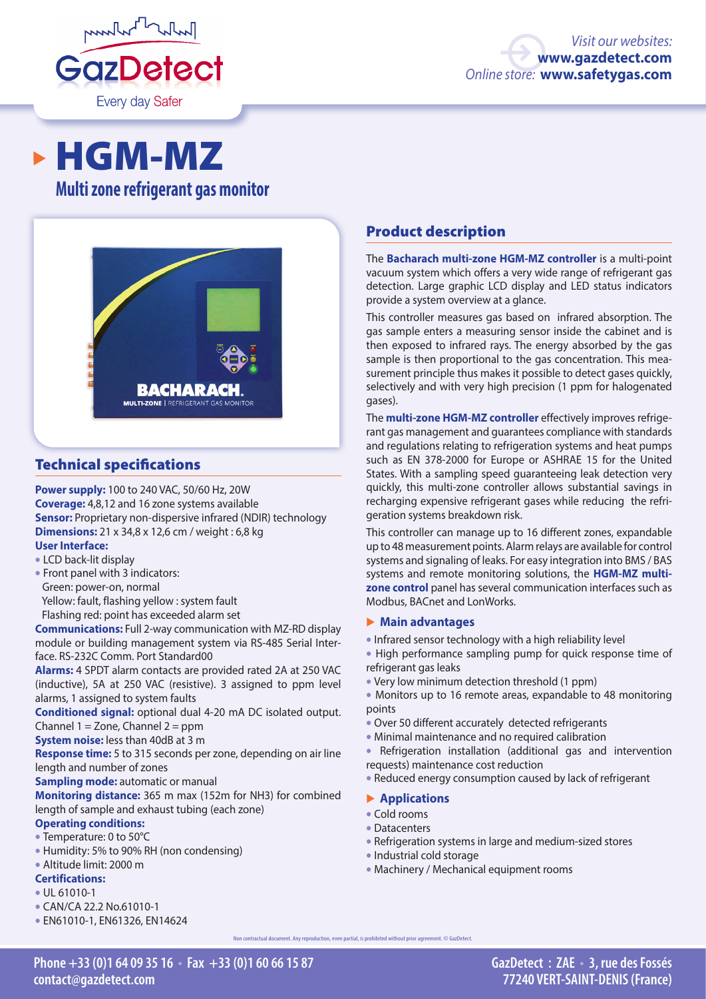

# HGM-MZ

## **Multi zone refrigerant gas monitor**



#### Technical specifications

**Power supply:** 100 to 240 VAC, 50/60 Hz, 20W **Coverage:** 4,8,12 and 16 zone systems available **Sensor:** Proprietary non-dispersive infrared (NDIR) technology **Dimensions:** 21 x 34,8 x 12,6 cm / weight : 6,8 kg

### **User Interface:**

- LCD back-lit display
- Front panel with 3 indicators: Green: power-on, normal
- Yellow: fault, flashing yellow : system fault
- Flashing red: point has exceeded alarm set

**Communications:** Full 2-way communication with MZ-RD display module or building management system via RS-485 Serial Interface. RS-232C Comm. Port Standard00

**Alarms:** 4 SPDT alarm contacts are provided rated 2A at 250 VAC (inductive), 5A at 250 VAC (resistive). 3 assigned to ppm level alarms, 1 assigned to system faults

**Conditioned signal:** optional dual 4-20 mA DC isolated output. Channel  $1 =$  Zone, Channel  $2 =$  ppm

**System noise:** less than 40dB at 3 m

**Response time:** 5 to 315 seconds per zone, depending on air line length and number of zones

**Sampling mode:** automatic or manual

**Monitoring distance:** 365 m max (152m for NH3) for combined length of sample and exhaust tubing (each zone)

#### **Operating conditions:**

- Temperature: 0 to 50°C
- Humidity: 5% to 90% RH (non condensing)
- Altitude limit: 2000 m

## **Certifications:**

- UL 61010-1
- CAN/CA 22.2 No.61010-1
- EN61010-1, EN61326, EN14624

## Product description

The **Bacharach multi-zone HGM-MZ controller** is a multi-point vacuum system which offers a very wide range of refrigerant gas detection. Large graphic LCD display and LED status indicators provide a system overview at a glance.

This controller measures gas based on infrared absorption. The gas sample enters a measuring sensor inside the cabinet and is then exposed to infrared rays. The energy absorbed by the gas sample is then proportional to the gas concentration. This measurement principle thus makes it possible to detect gases quickly, selectively and with very high precision (1 ppm for halogenated gases).

The **multi-zone HGM-MZ controller** effectively improves refrigerant gas management and guarantees compliance with standards and regulations relating to refrigeration systems and heat pumps such as EN 378-2000 for Europe or ASHRAE 15 for the United States. With a sampling speed guaranteeing leak detection very quickly, this multi-zone controller allows substantial savings in recharging expensive refrigerant gases while reducing the refrigeration systems breakdown risk.

This controller can manage up to 16 different zones, expandable up to 48 measurement points. Alarm relays are available for control systems and signaling of leaks. For easy integration into BMS / BAS systems and remote monitoring solutions, the **HGM-MZ multizone control** panel has several communication interfaces such as Modbus, BACnet and LonWorks.

#### � **Main advantages**

- Infrared sensor technology with a high reliability level
- High performance sampling pump for quick response time of refrigerant gas leaks
- Very low minimum detection threshold (1 ppm)
- Monitors up to 16 remote areas, expandable to 48 monitoring points
- Over 50 different accurately detected refrigerants
- Minimal maintenance and no required calibration
- Refrigeration installation (additional gas and intervention requests) maintenance cost reduction
- Reduced energy consumption caused by lack of refrigerant

#### � **Applications**

- Cold rooms
- Datacenters
- Refrigeration systems in large and medium-sized stores
- Industrial cold storage
- Machinery / Mechanical equipment rooms

**Phone +33 (0)1 64 09 35 16 • Fax +33 (0)1 60 66 15 87 contact@gazdetect.com**